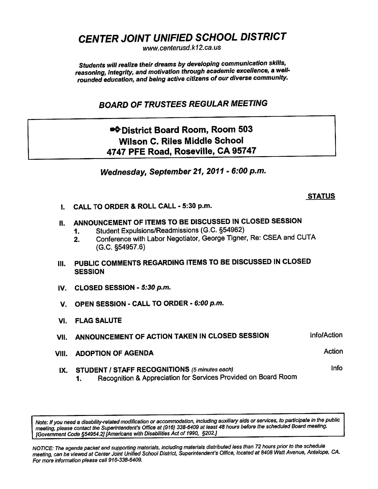CENTER JOINT UNIFIED SCHOOL DISTRICT

www. centerusd. k12.ca.us

Students will realize their dreams by developing communication skills, reasoning, integrity, and motivation through academic excellence, a wellrounded education, and being active citizens of our diverse community.

BOARD OF TRUSTEES REGULAR MEETING

# •\* District Board Room, Room 503 Wilson C. Riles Middle School 4747 PFE Road, Roseville, CA 95747

Wednesday, September 21, 2011 - 6:00 p.m.

### **STATUS**

I. CALL TO ORDER & ROLL CALL - 5:30 p.m.

## II. ANNOUNCEMENT OF ITEMS TO BE DISCUSSED IN CLOSED SESSION

- 1. Student Expulsions/Readmissions (G.C. §54962)
- 2. Conference with Labor Negotiator, George Tigner, Re: CSEA and CUTA (G.C. §54957.6)
- III. PUBLIC COMMENTS REGARDING ITEMS TO BE DISCUSSED IN CLOSED **SESSION**
- IV. CLOSED SESSION 5:30 p.m.
- V. OPEN SESSION CALL TO ORDER 6:00 p.m.
- VI. FLAG SALUTE
- VII. ANNOUNCEMENT OF ACTION TAKEN IN CLOSED SESSION Info/Action
- VIII. ADOPTION OF AGENDA Action
	- IX. STUDENT / STAFF RECOGNITIONS (5 minutes each) Info
		- 1. Recognition & Appreciation for Services Provided on Board Room

Note: If you need a disability-related modification or accommodation, including auxiliary aids or services, to participate in the public meeting, please contact the Superintendent's Office at (916) 338-6409 at least 48 hours before the scheduled Board meeting. [Government Code §54954.2] [Americans with Disabilities Act of 1990, §202.]

NOTICE: The agenda packet and supporting materials, including materials distributed less than 72 hours prior to the schedule meeting, can be viewed at Center Joint Unified School District, Superintendent's Office, located at 8408 Watt Avenue, Antelope, CA. For more information please call 916-338-6409.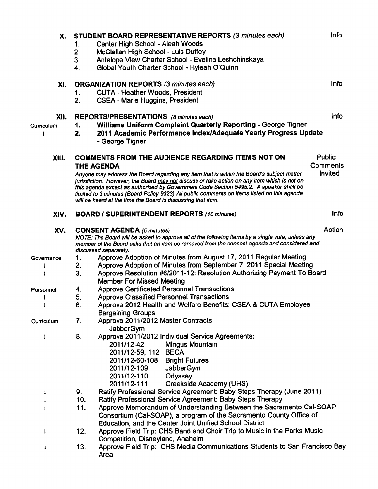| Х.                 | 1.<br>2.<br>3.<br>4. | STUDENT BOARD REPRESENTATIVE REPORTS (3 minutes each)<br>Center High School - Aleah Woods<br>McClellan High School - Luis Duffey<br>Antelope View Charter School - Evelina Leshchinskaya<br>Global Youth Charter School - Hyleah O'Quinn                                                                                                                                                                                                                                                                                            | Info                                        |  |
|--------------------|----------------------|-------------------------------------------------------------------------------------------------------------------------------------------------------------------------------------------------------------------------------------------------------------------------------------------------------------------------------------------------------------------------------------------------------------------------------------------------------------------------------------------------------------------------------------|---------------------------------------------|--|
| XI.                | 1.<br>2.             | <b>ORGANIZATION REPORTS (3 minutes each)</b><br><b>CUTA - Heather Woods, President</b><br><b>CSEA - Marie Huggins, President</b>                                                                                                                                                                                                                                                                                                                                                                                                    | Info                                        |  |
| XII.<br>Curriculum | 1.<br>2.             | <b>REPORTS/PRESENTATIONS</b> (8 minutes each)<br>Williams Uniform Complaint Quarterly Reporting - George Tigner<br>2011 Academic Performance Index/Adequate Yearly Progress Update<br>- George Tigner                                                                                                                                                                                                                                                                                                                               | Info                                        |  |
| XIII.              |                      | <b>COMMENTS FROM THE AUDIENCE REGARDING ITEMS NOT ON</b><br><b>THE AGENDA</b><br>Anyone may address the Board regarding any item that is within the Board's subject matter<br>jurisdiction. However, the Board may not discuss or take action on any item which is not on<br>this agenda except as authorized by Government Code Section 5495.2. A speaker shall be<br>limited to 3 minutes (Board Policy 9323). All public comments on items listed on this agenda<br>will be heard at the time the Board is discussing that item. | <b>Public</b><br><b>Comments</b><br>Invited |  |
| XIV.               |                      | <b>BOARD / SUPERINTENDENT REPORTS (10 minutes)</b>                                                                                                                                                                                                                                                                                                                                                                                                                                                                                  | Info                                        |  |
| XV.                |                      | <b>CONSENT AGENDA (5 minutes)</b><br>NOTE: The Board will be asked to approve all of the following items by a single vote, unless any<br>member of the Board asks that an item be removed from the consent agenda and considered and<br>discussed separately.                                                                                                                                                                                                                                                                       | Action                                      |  |
| Governance         | 1.                   | Approve Adoption of Minutes from August 17, 2011 Regular Meeting                                                                                                                                                                                                                                                                                                                                                                                                                                                                    |                                             |  |
|                    | 2.                   | Approve Adoption of Minutes from September 7, 2011 Special Meeting                                                                                                                                                                                                                                                                                                                                                                                                                                                                  |                                             |  |
|                    | 3.                   | Approve Resolution #6/2011-12: Resolution Authorizing Payment To Board<br><b>Member For Missed Meeting</b>                                                                                                                                                                                                                                                                                                                                                                                                                          |                                             |  |
| Personnel          | 4.                   | <b>Approve Certificated Personnel Transactions</b>                                                                                                                                                                                                                                                                                                                                                                                                                                                                                  |                                             |  |
|                    | 5.                   | <b>Approve Classified Personnel Transactions</b>                                                                                                                                                                                                                                                                                                                                                                                                                                                                                    |                                             |  |
|                    | 6.                   | Approve 2012 Health and Welfare Benefits: CSEA & CUTA Employee<br><b>Bargaining Groups</b>                                                                                                                                                                                                                                                                                                                                                                                                                                          |                                             |  |
| Curriculum         | 7.                   | Approve 2011/2012 Master Contracts:<br>JabberGym                                                                                                                                                                                                                                                                                                                                                                                                                                                                                    |                                             |  |
| $\downarrow$       | 8.                   | Approve 2011/2012 Individual Service Agreements:<br>Mingus Mountain<br>2011/12-42<br>2011/12-59, 112 BECA<br>2011/12-60-108 Bright Futures<br>2011/12-109<br>JabberGym<br>2011/12-110<br>Odyssey<br><b>Creekside Academy (UHS)</b><br>2011/12-111                                                                                                                                                                                                                                                                                   |                                             |  |
| $\mathbf{t}$       | 9.                   | Ratify Professional Service Agreement: Baby Steps Therapy (June 2011)                                                                                                                                                                                                                                                                                                                                                                                                                                                               |                                             |  |
| 1                  | 10.                  | Ratify Professional Service Agreement: Baby Steps Therapy                                                                                                                                                                                                                                                                                                                                                                                                                                                                           |                                             |  |
| ł                  | 11.                  | Approve Memorandum of Understanding Between the Sacramento Cal-SOAP<br>Consortium (Cal-SOAP), a program of the Sacramento County Office of<br>Education, and the Center Joint Unified School District                                                                                                                                                                                                                                                                                                                               |                                             |  |
| $\downarrow$       | 12.                  | Approve Field Trip: CHS Band and Choir Trip to Music in the Parks Music<br>Competition, Disneyland, Anaheim                                                                                                                                                                                                                                                                                                                                                                                                                         |                                             |  |
|                    | 13.                  | Approve Field Trip: CHS Media Communications Students to San Francisco Bay<br>Area                                                                                                                                                                                                                                                                                                                                                                                                                                                  |                                             |  |